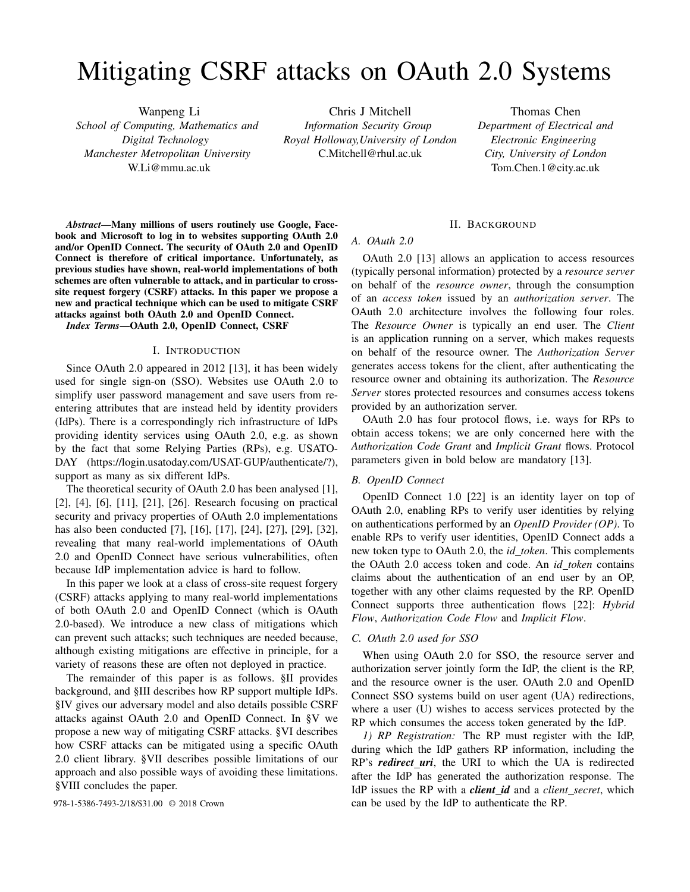# Mitigating CSRF attacks on OAuth 2.0 Systems

Wanpeng Li *School of Computing, Mathematics and Digital Technology Manchester Metropolitan University* W.Li@mmu.ac.uk

Chris J Mitchell *Information Security Group Royal Holloway,University of London* C.Mitchell@rhul.ac.uk

Thomas Chen *Department of Electrical and Electronic Engineering City, University of London* Tom.Chen.1@city.ac.uk

*Abstract*—Many millions of users routinely use Google, Facebook and Microsoft to log in to websites supporting OAuth 2.0 and/or OpenID Connect. The security of OAuth 2.0 and OpenID Connect is therefore of critical importance. Unfortunately, as previous studies have shown, real-world implementations of both schemes are often vulnerable to attack, and in particular to crosssite request forgery (CSRF) attacks. In this paper we propose a new and practical technique which can be used to mitigate CSRF attacks against both OAuth 2.0 and OpenID Connect.

*Index Terms*—OAuth 2.0, OpenID Connect, CSRF

#### I. INTRODUCTION

Since OAuth 2.0 appeared in 2012 [13], it has been widely used for single sign-on (SSO). Websites use OAuth 2.0 to simplify user password management and save users from reentering attributes that are instead held by identity providers (IdPs). There is a correspondingly rich infrastructure of IdPs providing identity services using OAuth 2.0, e.g. as shown by the fact that some Relying Parties (RPs), e.g. USATO-DAY (https://login.usatoday.com/USAT-GUP/authenticate/?), support as many as six different IdPs.

The theoretical security of OAuth 2.0 has been analysed [1], [2], [4], [6], [11], [21], [26]. Research focusing on practical security and privacy properties of OAuth 2.0 implementations has also been conducted [7], [16], [17], [24], [27], [29], [32], revealing that many real-world implementations of OAuth 2.0 and OpenID Connect have serious vulnerabilities, often because IdP implementation advice is hard to follow.

In this paper we look at a class of cross-site request forgery (CSRF) attacks applying to many real-world implementations of both OAuth 2.0 and OpenID Connect (which is OAuth 2.0-based). We introduce a new class of mitigations which can prevent such attacks; such techniques are needed because, although existing mitigations are effective in principle, for a variety of reasons these are often not deployed in practice.

The remainder of this paper is as follows. §II provides background, and §III describes how RP support multiple IdPs. §IV gives our adversary model and also details possible CSRF attacks against OAuth 2.0 and OpenID Connect. In §V we propose a new way of mitigating CSRF attacks. §VI describes how CSRF attacks can be mitigated using a specific OAuth 2.0 client library. §VII describes possible limitations of our approach and also possible ways of avoiding these limitations. §VIII concludes the paper.

#### II. BACKGROUND

#### *A. OAuth 2.0*

OAuth 2.0 [13] allows an application to access resources (typically personal information) protected by a *resource server* on behalf of the *resource owner*, through the consumption of an *access token* issued by an *authorization server*. The OAuth 2.0 architecture involves the following four roles. The *Resource Owner* is typically an end user. The *Client* is an application running on a server, which makes requests on behalf of the resource owner. The *Authorization Server* generates access tokens for the client, after authenticating the resource owner and obtaining its authorization. The *Resource Server* stores protected resources and consumes access tokens provided by an authorization server.

OAuth 2.0 has four protocol flows, i.e. ways for RPs to obtain access tokens; we are only concerned here with the *Authorization Code Grant* and *Implicit Grant* flows. Protocol parameters given in bold below are mandatory [13].

# *B. OpenID Connect*

OpenID Connect 1.0 [22] is an identity layer on top of OAuth 2.0, enabling RPs to verify user identities by relying on authentications performed by an *OpenID Provider (OP)*. To enable RPs to verify user identities, OpenID Connect adds a new token type to OAuth 2.0, the *id token*. This complements the OAuth 2.0 access token and code. An *id token* contains claims about the authentication of an end user by an OP, together with any other claims requested by the RP. OpenID Connect supports three authentication flows [22]: *Hybrid Flow*, *Authorization Code Flow* and *Implicit Flow*.

# *C. OAuth 2.0 used for SSO*

When using OAuth 2.0 for SSO, the resource server and authorization server jointly form the IdP, the client is the RP, and the resource owner is the user. OAuth 2.0 and OpenID Connect SSO systems build on user agent (UA) redirections, where a user (U) wishes to access services protected by the RP which consumes the access token generated by the IdP.

*1) RP Registration:* The RP must register with the IdP, during which the IdP gathers RP information, including the RP's *redirect uri*, the URI to which the UA is redirected after the IdP has generated the authorization response. The IdP issues the RP with a *client id* and a *client secret*, which 978-1-5386-7493-2/18/\$31.00 © 2018 Crown can be used by the IdP to authenticate the RP.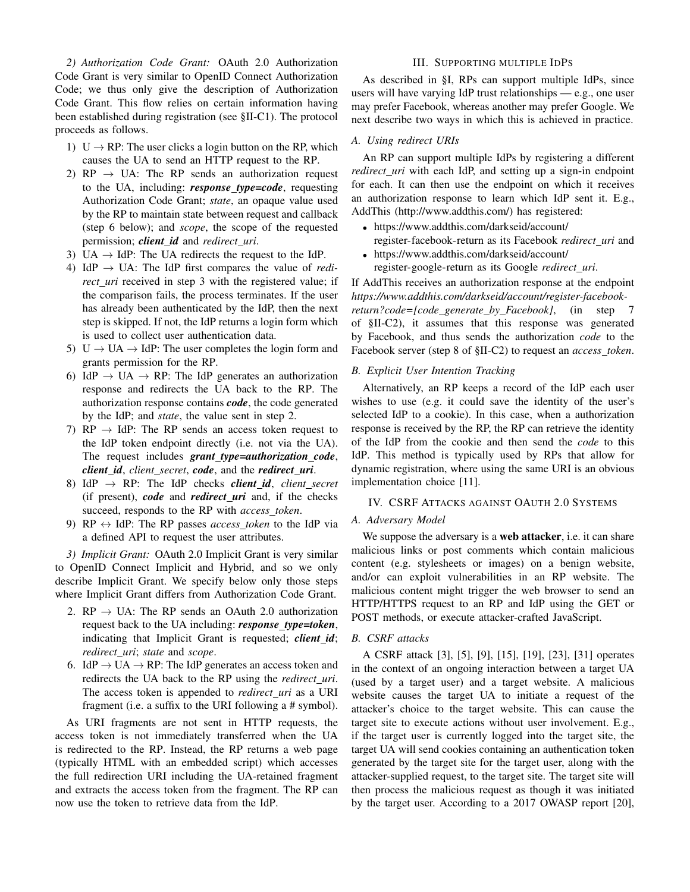*2) Authorization Code Grant:* OAuth 2.0 Authorization Code Grant is very similar to OpenID Connect Authorization Code; we thus only give the description of Authorization Code Grant. This flow relies on certain information having been established during registration (see §II-C1). The protocol proceeds as follows.

- 1) U  $\rightarrow$  RP: The user clicks a login button on the RP, which causes the UA to send an HTTP request to the RP.
- 2) RP  $\rightarrow$  UA: The RP sends an authorization request to the UA, including: *response type=code*, requesting Authorization Code Grant; *state*, an opaque value used by the RP to maintain state between request and callback (step 6 below); and *scope*, the scope of the requested permission; *client id* and *redirect uri*.
- 3) UA  $\rightarrow$  IdP: The UA redirects the request to the IdP.
- 4) IdP  $\rightarrow$  UA: The IdP first compares the value of *redirect\_uri* received in step 3 with the registered value; if the comparison fails, the process terminates. If the user has already been authenticated by the IdP, then the next step is skipped. If not, the IdP returns a login form which is used to collect user authentication data.
- 5)  $U \rightarrow UA \rightarrow IdP$ : The user completes the login form and grants permission for the RP.
- 6) IdP  $\rightarrow$  UA  $\rightarrow$  RP: The IdP generates an authorization response and redirects the UA back to the RP. The authorization response contains *code*, the code generated by the IdP; and *state*, the value sent in step 2.
- 7) RP  $\rightarrow$  IdP: The RP sends an access token request to the IdP token endpoint directly (i.e. not via the UA). The request includes *grant type=authorization code*, *client id*, *client secret*, *code*, and the *redirect uri*.
- 8) IdP  $\rightarrow$  RP: The IdP checks *client\_id*, *client\_secret* (if present), *code* and *redirect uri* and, if the checks succeed, responds to the RP with *access token*.
- 9) RP  $\leftrightarrow$  IdP: The RP passes *access\_token* to the IdP via a defined API to request the user attributes.

*3) Implicit Grant:* OAuth 2.0 Implicit Grant is very similar to OpenID Connect Implicit and Hybrid, and so we only describe Implicit Grant. We specify below only those steps where Implicit Grant differs from Authorization Code Grant.

- 2.  $RP \rightarrow UA$ : The RP sends an OAuth 2.0 authorization request back to the UA including: *response type=token*, indicating that Implicit Grant is requested; *client\_id*; *redirect uri*; *state* and *scope*.
- 6. IdP  $\rightarrow$  UA  $\rightarrow$  RP: The IdP generates an access token and redirects the UA back to the RP using the *redirect uri*. The access token is appended to *redirect uri* as a URI fragment (i.e. a suffix to the URI following a # symbol).

As URI fragments are not sent in HTTP requests, the access token is not immediately transferred when the UA is redirected to the RP. Instead, the RP returns a web page (typically HTML with an embedded script) which accesses the full redirection URI including the UA-retained fragment and extracts the access token from the fragment. The RP can now use the token to retrieve data from the IdP.

# III. SUPPORTING MULTIPLE IDPS

As described in §I, RPs can support multiple IdPs, since users will have varying IdP trust relationships — e.g., one user may prefer Facebook, whereas another may prefer Google. We next describe two ways in which this is achieved in practice.

# *A. Using redirect URIs*

An RP can support multiple IdPs by registering a different *redirect\_uri* with each IdP, and setting up a sign-in endpoint for each. It can then use the endpoint on which it receives an authorization response to learn which IdP sent it. E.g., AddThis (http://www.addthis.com/) has registered:

- https://www.addthis.com/darkseid/account/
- register-facebook-return as its Facebook *redirect uri* and
- https://www.addthis.com/darkseid/account/ register-google-return as its Google *redirect uri*.

If AddThis receives an authorization response at the endpoint *https://www.addthis.com/darkseid/account/register-facebookreturn?code=[code generate by Facebook]*, (in step 7 of §II-C2), it assumes that this response was generated by Facebook, and thus sends the authorization *code* to the Facebook server (step 8 of §II-C2) to request an *access token*.

# *B. Explicit User Intention Tracking*

Alternatively, an RP keeps a record of the IdP each user wishes to use (e.g. it could save the identity of the user's selected IdP to a cookie). In this case, when a authorization response is received by the RP, the RP can retrieve the identity of the IdP from the cookie and then send the *code* to this IdP. This method is typically used by RPs that allow for dynamic registration, where using the same URI is an obvious implementation choice [11].

# IV. CSRF ATTACKS AGAINST OAUTH 2.0 SYSTEMS

# *A. Adversary Model*

We suppose the adversary is a web attacker, i.e. it can share malicious links or post comments which contain malicious content (e.g. stylesheets or images) on a benign website, and/or can exploit vulnerabilities in an RP website. The malicious content might trigger the web browser to send an HTTP/HTTPS request to an RP and IdP using the GET or POST methods, or execute attacker-crafted JavaScript.

# *B. CSRF attacks*

A CSRF attack [3], [5], [9], [15], [19], [23], [31] operates in the context of an ongoing interaction between a target UA (used by a target user) and a target website. A malicious website causes the target UA to initiate a request of the attacker's choice to the target website. This can cause the target site to execute actions without user involvement. E.g., if the target user is currently logged into the target site, the target UA will send cookies containing an authentication token generated by the target site for the target user, along with the attacker-supplied request, to the target site. The target site will then process the malicious request as though it was initiated by the target user. According to a 2017 OWASP report [20],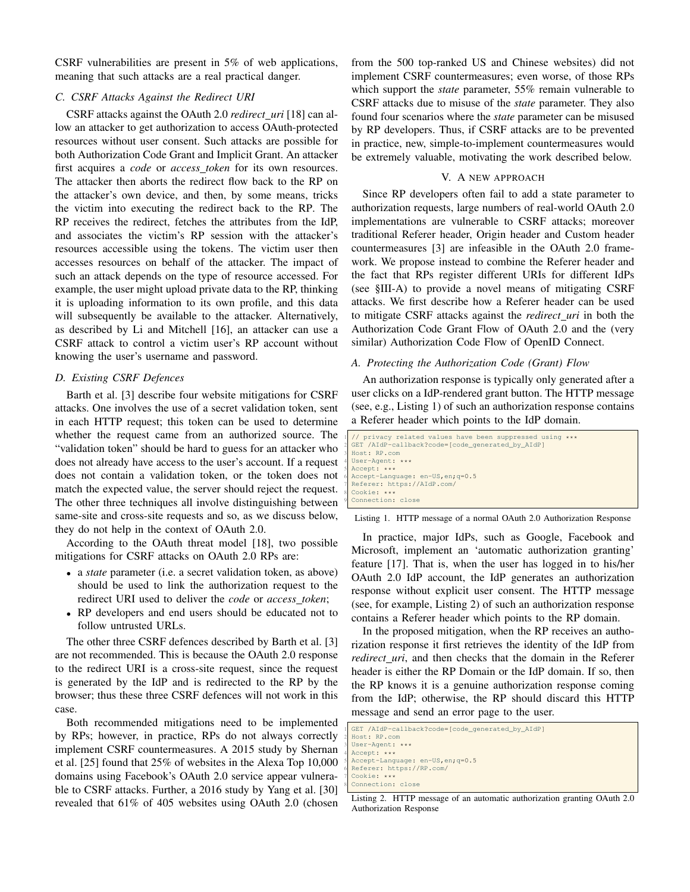CSRF vulnerabilities are present in 5% of web applications, meaning that such attacks are a real practical danger.

#### *C. CSRF Attacks Against the Redirect URI*

CSRF attacks against the OAuth 2.0 *redirect uri* [18] can allow an attacker to get authorization to access OAuth-protected resources without user consent. Such attacks are possible for both Authorization Code Grant and Implicit Grant. An attacker first acquires a *code* or *access token* for its own resources. The attacker then aborts the redirect flow back to the RP on the attacker's own device, and then, by some means, tricks the victim into executing the redirect back to the RP. The RP receives the redirect, fetches the attributes from the IdP, and associates the victim's RP session with the attacker's resources accessible using the tokens. The victim user then accesses resources on behalf of the attacker. The impact of such an attack depends on the type of resource accessed. For example, the user might upload private data to the RP, thinking it is uploading information to its own profile, and this data will subsequently be available to the attacker. Alternatively, as described by Li and Mitchell [16], an attacker can use a CSRF attack to control a victim user's RP account without knowing the user's username and password.

# *D. Existing CSRF Defences*

Barth et al. [3] describe four website mitigations for CSRF attacks. One involves the use of a secret validation token, sent in each HTTP request; this token can be used to determine whether the request came from an authorized source. The "validation token" should be hard to guess for an attacker who does not already have access to the user's account. If a request does not contain a validation token, or the token does not match the expected value, the server should reject the request. The other three techniques all involve distinguishing between same-site and cross-site requests and so, as we discuss below, they do not help in the context of OAuth 2.0.

According to the OAuth threat model [18], two possible mitigations for CSRF attacks on OAuth 2.0 RPs are:

- a *state* parameter (i.e. a secret validation token, as above) should be used to link the authorization request to the redirect URI used to deliver the *code* or *access token*;
- RP developers and end users should be educated not to follow untrusted URLs.

The other three CSRF defences described by Barth et al. [3] are not recommended. This is because the OAuth 2.0 response to the redirect URI is a cross-site request, since the request is generated by the IdP and is redirected to the RP by the browser; thus these three CSRF defences will not work in this case.

Both recommended mitigations need to be implemented by RPs; however, in practice, RPs do not always correctly implement CSRF countermeasures. A 2015 study by Shernan et al. [25] found that 25% of websites in the Alexa Top 10,000 domains using Facebook's OAuth 2.0 service appear vulnerable to CSRF attacks. Further, a 2016 study by Yang et al. [30] revealed that 61% of 405 websites using OAuth 2.0 (chosen from the 500 top-ranked US and Chinese websites) did not implement CSRF countermeasures; even worse, of those RPs which support the *state* parameter, 55% remain vulnerable to CSRF attacks due to misuse of the *state* parameter. They also found four scenarios where the *state* parameter can be misused by RP developers. Thus, if CSRF attacks are to be prevented in practice, new, simple-to-implement countermeasures would be extremely valuable, motivating the work described below.

#### V. A NEW APPROACH

Since RP developers often fail to add a state parameter to authorization requests, large numbers of real-world OAuth 2.0 implementations are vulnerable to CSRF attacks; moreover traditional Referer header, Origin header and Custom header countermeasures [3] are infeasible in the OAuth 2.0 framework. We propose instead to combine the Referer header and the fact that RPs register different URIs for different IdPs (see §III-A) to provide a novel means of mitigating CSRF attacks. We first describe how a Referer header can be used to mitigate CSRF attacks against the *redirect uri* in both the Authorization Code Grant Flow of OAuth 2.0 and the (very similar) Authorization Code Flow of OpenID Connect.

#### *A. Protecting the Authorization Code (Grant) Flow*

An authorization response is typically only generated after a user clicks on a IdP-rendered grant button. The HTTP message (see, e.g., Listing 1) of such an authorization response contains a Referer header which points to the IdP domain.

| I // privacy related values have been suppressed using *** |
|------------------------------------------------------------|
| GET /AIdP-callback?code=[code generated by AIdP]           |
| 3 Host: RP.com                                             |
| 4 User-Agent: ***                                          |
| $5$ Accept: ***                                            |
| Accept-Language: en-US, en; q=0.5                          |
| Referer: https://AIdP.com/                                 |
| 8 Cookie: ***                                              |
| Connection: close                                          |

Listing 1. HTTP message of a normal OAuth 2.0 Authorization Response

In practice, major IdPs, such as Google, Facebook and Microsoft, implement an 'automatic authorization granting' feature [17]. That is, when the user has logged in to his/her OAuth 2.0 IdP account, the IdP generates an authorization response without explicit user consent. The HTTP message (see, for example, Listing 2) of such an authorization response contains a Referer header which points to the RP domain.

In the proposed mitigation, when the RP receives an authorization response it first retrieves the identity of the IdP from *redirect\_uri*, and then checks that the domain in the Referer header is either the RP Domain or the IdP domain. If so, then the RP knows it is a genuine authorization response coming from the IdP; otherwise, the RP should discard this HTTP message and send an error page to the user.

| I GET /AIdP-callback?code=[code_generated_by_AIdP] |
|----------------------------------------------------|
| 2 Host: RP.com                                     |
| 3 User-Agent: ***                                  |
| 4 Accept: ***                                      |
| Accept-Language: en-US, en; q=0.5                  |
| 6 Referer: https://RP.com/                         |
| 7 Cookie: ***                                      |
| 8 Connection: close                                |
|                                                    |

Listing 2. HTTP message of an automatic authorization granting OAuth 2.0 Authorization Response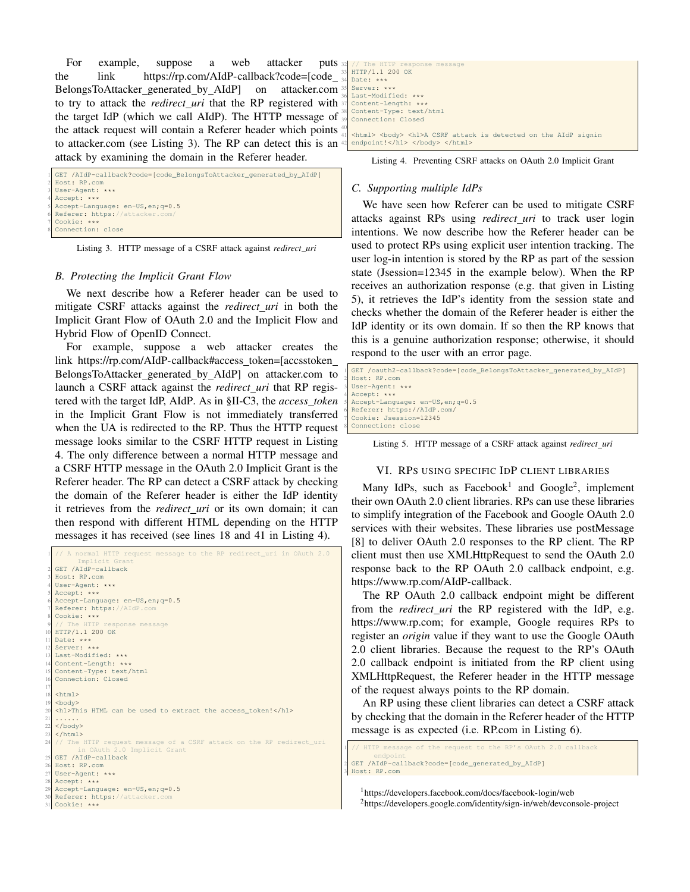For example, suppose a web attacker puts the link https://rp.com/AIdP-callback?code=[code BelongsToAttacker generated by AIdP] on attacker.com to try to attack the *redirect uri* that the RP registered with the target IdP (which we call AIdP). The HTTP message of the attack request will contain a Referer header which points  $\frac{40}{41}$ to attacker.com (see Listing 3). The RP can detect this is an  $\triangleleft$ attack by examining the domain in the Referer header.

```
GET /AIdP-callback?code=[code_BelongsToAttacker_generated_by_AIdP]
 2 Host: RP.com
 User-Agent: ***
 Accept: ***
 5 Accept-Language: en-US,en;q=0.5
 Referer: https://attacker.
7 Cookie: ***
8 Connection: close
```
Listing 3. HTTP message of a CSRF attack against *redirect uri*

#### *B. Protecting the Implicit Grant Flow*

We next describe how a Referer header can be used to mitigate CSRF attacks against the *redirect uri* in both the Implicit Grant Flow of OAuth 2.0 and the Implicit Flow and Hybrid Flow of OpenID Connect.

For example, suppose a web attacker creates the link https://rp.com/AIdP-callback#access\_token=[accsstoken\_ BelongsToAttacker generated by AIdP] on attacker.com to launch a CSRF attack against the *redirect uri* that RP registered with the target IdP, AIdP. As in §II-C3, the *access token* in the Implicit Grant Flow is not immediately transferred when the UA is redirected to the RP. Thus the HTTP request message looks similar to the CSRF HTTP request in Listing 4. The only difference between a normal HTTP message and a CSRF HTTP message in the OAuth 2.0 Implicit Grant is the Referer header. The RP can detect a CSRF attack by checking the domain of the Referer header is either the IdP identity it retrieves from the *redirect uri* or its own domain; it can then respond with different HTML depending on the HTTP messages it has received (see lines 18 and 41 in Listing 4).

```
request message to the RP redirect_uri in OAuth 2.0
Implicit Grant<br>
2 GET /AIdP-callback
  3 Host: RP.com
  User-Agent: ***
  Accept: ***
  6 Accept-Language: en-US,en;q=0.5
  Referer: https://AIdP.com
  Cookie: ***
9 // The HTTP response message
  10 HTTP/1.1 200 OK
  Date: ***
  Server: ***
  13 Last-Modified: ***
  Content-Length: **
  Content-Type: text/html
  Connection: Closed
17
  \text{thm1}<body>
  <h1>This HTML can be used to extract the access token!</h1>
\frac{21}{22} ......
  \langle/html>
    The HTTP request message of a CSRF attack on the RP redirect_uri
                      Implicit Grant
  25 GET /AIdP-callback
  26 Host: RP.com
  User-Agent: ***
  Accept: ***
  Accept-Language: en-US, en; q=0.5
  Referer: https://attacker.
  Cookie: ***
```

| 32 // The HTTP response message                                                      |
|--------------------------------------------------------------------------------------|
| 33 HTTP/1.1 200 OK                                                                   |
| $34$ Date: ***                                                                       |
| 35 Server: ***                                                                       |
| 36 Last-Modified: ***                                                                |
| 37 Content-Length: ***                                                               |
| 38 Content-Type: text/html                                                           |
| 39 Connection: Closed                                                                |
|                                                                                      |
| 41 <html> <body> <h1>A CSRF attack is detected on the AIdP signin</h1></body></html> |
| 42 endpoint!                                                                         |
|                                                                                      |

Listing 4. Preventing CSRF attacks on OAuth 2.0 Implicit Grant

## *C. Supporting multiple IdPs*

We have seen how Referer can be used to mitigate CSRF attacks against RPs using *redirect uri* to track user login intentions. We now describe how the Referer header can be used to protect RPs using explicit user intention tracking. The user log-in intention is stored by the RP as part of the session state (Jsession=12345 in the example below). When the RP receives an authorization response (e.g. that given in Listing 5), it retrieves the IdP's identity from the session state and checks whether the domain of the Referer header is either the IdP identity or its own domain. If so then the RP knows that this is a genuine authorization response; otherwise, it should respond to the user with an error page.

```
1 GET /oauth2-callback?code=[code_BelongsToAttacker_generated_by_AIdP]
2 Host: RP.com
User-Agent: ***
Accept: ***
5 Accept-Language: en-US,en;q=0.5
Referer: https://AIdP.com,
7 Cookie: Jsession=12345
Connection: close
```
Listing 5. HTTP message of a CSRF attack against *redirect uri*

# VI. RPS USING SPECIFIC IDP CLIENT LIBRARIES

Many IdPs, such as Facebook<sup>1</sup> and Google<sup>2</sup>, implement their own OAuth 2.0 client libraries. RPs can use these libraries to simplify integration of the Facebook and Google OAuth 2.0 services with their websites. These libraries use postMessage [8] to deliver OAuth 2.0 responses to the RP client. The RP client must then use XMLHttpRequest to send the OAuth 2.0 response back to the RP OAuth 2.0 callback endpoint, e.g. https://www.rp.com/AIdP-callback.

The RP OAuth 2.0 callback endpoint might be different from the *redirect uri* the RP registered with the IdP, e.g. https://www.rp.com; for example, Google requires RPs to register an *origin* value if they want to use the Google OAuth 2.0 client libraries. Because the request to the RP's OAuth 2.0 callback endpoint is initiated from the RP client using XMLHttpRequest, the Referer header in the HTTP message of the request always points to the RP domain.

An RP using these client libraries can detect a CSRF attack by checking that the domain in the Referer header of the HTTP message is as expected (i.e. RP.com in Listing 6).

```
sage of the request to the RP's OAuth 2.0
      endpoint
2 GET /AIdP-callback?code=[code_generated_by_AIdP]
3 Host: RP.com
```
<sup>1</sup>https://developers.facebook.com/docs/facebook-login/web <sup>2</sup>https://developers.google.com/identity/sign-in/web/devconsole-project